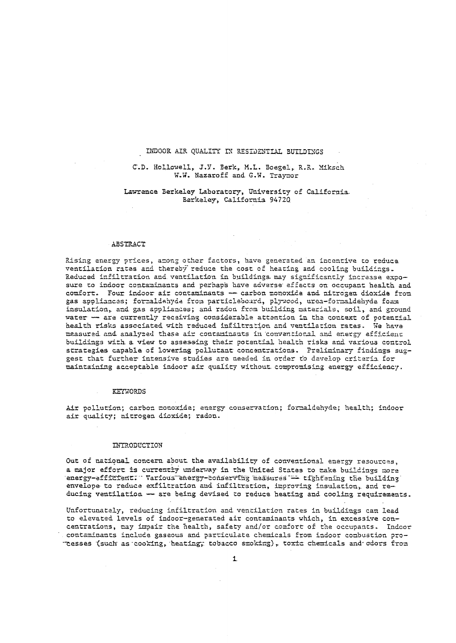## INDOOR AIR QUALITY IN RESIDENTIAL BUILDINGS

# C.D. Hollowell, J.V. Berk, M.L. Boegel, R.R. Miksch W.W. Nazaroff and G.W. Traynor

# Lawrence Berkeley Laboratory, University of California. Berkeley, California 94720

#### ABSTRACT

Rising energy prices, among other factors, have generated an incentive to reduca ventilation rates and thereby reduce the cost of heating and cooling buildings. Reduced infiltration and ventilation in buildings may significantly increase exposure to indoor contaminants and perhaps have adverse effects on occupant health and comfort. Four indoor air contaminants - carbon monoxide and nitrogen dioxide from gas appliances; formaldehyde from particlebourd, plywood, urea-formaldehyde foam insulation, and gas appliances; and radon from building materials, soil, and ground water - are currently receiving considerable attention in the context of potential health risks associated with reduced infiltration and ventilation rates. We have measured and analyzed these air contaminants in conventional and energy efficient buildings with a view to assessing their potential health risks and various control strategies capable of lowering pollutant concentrations. Preliminary findings suggest that further intensive studies are needed in order to davelop criteria for maintaining acceptable indoor air quality without compromising energy efficiency.

#### KEYWORDS

Air pollution; carbon monoxide; energy conservation; formaldehyde; health; indoor air quality; nitrogen dioxide; radon.

#### INTRODUCTION

Out of national concern about the availability of conventional energy resources. a major effort is currently underway in the United States to make buildings more energy-efficient. Various energy-conserving measures - tighfening the building envelope to reduce exfiltration and infiltration, improving insulation, and reducing ventilation - are being devised to reduce heating and cooling requirements.

Unfortunately, reducing infiltration and ventilation rates in buildings can lead to elevated levels of indoor-generated air contaminants which, in excessive concentrations, may impair the health, safety and/or comfort of the occupants. Indoor contaminants include gaseous and particulate chemicals from indoor combustion proresses (such as cooking, heating, tobacco smoking), toxic chemicals and odors from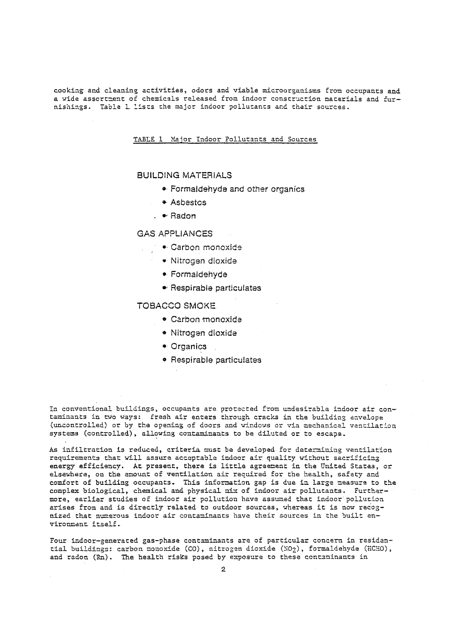cooking and cleaning activities, odors and viable microorganisms from occupants and a wide assortment of chemicals released from indoor construction materials and furnishings. Table 1 lists the major indoor pollutants and their sources.

TABLE 1 Major Indoor Pollutants and Sources

# **BUILDING MATERIALS**

- Formaldehyde and other organics
- \* Asbestos
- $\cdot$   $\bullet$  Radon

# **GAS APPLIANCES**

- Carbon monoxide
	- · Nitrogen dioxide
	- · Formaldehyde
	- Respirable particulates

# **TOBACCO SMOKE**

- Carbon monoxide
- · Nitrogen dioxide
- $\bullet$  Organics
- Respirable particulates

In conventional buildings, occupants are protected from undesirable indoor air contaminants in two ways: fresh air enters through cracks in the building envelope (uncontrolled) or by the opening of doors and windows or via mechanical ventilation systems (controlled), allowing contaminants to be diluted or to escape.

As infiltration is reduced, criteria must be developed for determining ventilation requirements that will assure acceptable indoor air quality without sacrificing energy efficiency. At present, there is little agreement in the United States, or elsewhere, on the amount of ventilation air required for the health, safety and comfort of building occupants. This information gap is due in large measure to the complex biological, chemical and physical mix of indoor air pollutants. Furthermore, earlier studies of indoor air pollution have assumed that indoor pollution arises from and is directly related to outdoor sources, whereas it is now recognized that numerous indoor air contaminants have their sources in the built environment itself.

Four indoor-generated gas-phase contaminants are of particular concern in residential buildings: carbon monoxide (CO), nitrogen dioxide (NO2), formaldehyde (HCHO), and radon (Rn). The health risks posed by exposure to these contaminants in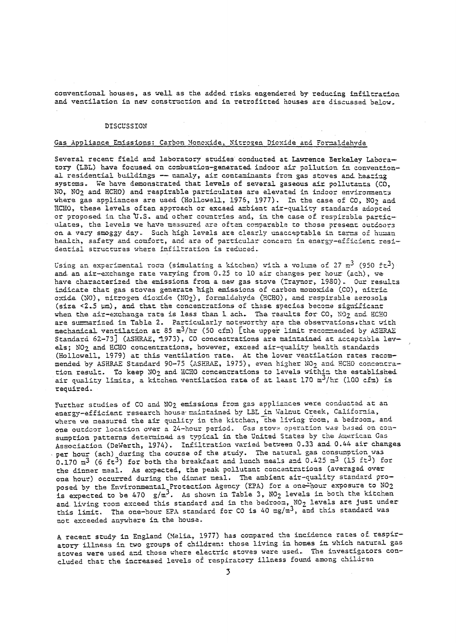conventional houses, as well as the added risks engendered by reducing infiltration and ventilation in new construction and in retrofitted houses are discussed below.

#### **DISCUSSION**

## Gas Appliance Emissions: Carbon Monoxide, Nitrogen Dioxide and Formaldehvde

Several recent field and laboratory studies conducted at Lawrence Berkeley Laboratory (LBL) have focused on combustion-generated indoor air pollution in conventional residential buildings -- namaly, air contaminants from gas stoves and heating systems. We have demonstrated that levels of several gaseous air pollutants (CO, NO, NO<sub>2</sub> and HCHO) and respirable particulates are elevated in indoor environments where gas appliances are used (Hollowell, 1975, 1977). In the case of CO, NO2 and HCHO, these levels often approach or exceed ambient air-quality standards adopted or proposed in the U.S. and other countries and, in the case of respirable particulates, the levels we have measured are often comparable to those present outdoors on a very smoggy day. Such high levels are clearly unacceptable in terms of human health, safety and comfort, and are of particular concern in energy-efficient residential structures where infiltration is reduced.

Using an experimental room (simulating a kitchen) with a volume of 27  $m^3$  (950 ft<sup>3</sup>) and an air-exchange rate varying from 0.25 to 10 air changes per hour (ach), we have characterized the emissions from a new gas stove (Traynor, 1980). Our results indicate that gas stoves generate high emissions of carbon monoxide (CO), nitric oxide (NO), nitrogen dioxide (NO2), formaldehyde (HCHO), and respirable aerosols (size <2.5 um), and that the concentrations of these species become significant when the air-exchange rate is less than 1 ach. The results for CO, NO2 and HCHO are summarized in Table 2. Particularly noteworthy are the observations. that with mechanical ventilation at 85  $m^3/hr$  (50 cfm) [the upper limit recornended by ASHRAE Standard 62-73] (ASHRAE, 1973), CO concentrations are maintained at acceptable levels; NO2 and HCHO concentrations, however, exceed air-quality health standards (Hollowall, 1979) at this ventilation rate. At the lower ventilation rates recommended by ASHRAE Standard 90-75 (ASHRAE, 1975), even higher NO<sub>2</sub> and HCHO concentration result. To keep NO<sub>2</sub> and HCHO concentrations to levels within the established. air quality limits, a kitchen ventilation rate of at least 170 m<sup>3</sup>/hr (100 cfm) is required.

Further studies of CO and NO2 emissions from gas appliances were conducted at an energy-efficient research house maintained by LBL in Walnut Creek, California, where we measured the air quality in the kitchen, the living room, a bedroom, and one outdoor location over a 24-hour period. Gas stove operation was based on consumption patterns determined as typical in the United States by the American Gas Association (DeWerth, 1974). Infiltration varied between 0.33 and 0.44 air changes per hour (ach) during the course of the study. The natural gas consumption was  $0.170$  m<sup>3</sup> (6 ft<sup>3</sup>) for both the breakfast and lunch meals and 0.425 m<sup>3</sup> (15 ft<sup>3</sup>) for the dinner meal. As expected, the peak pollutant concentrations (averaged over one hour) occurred during the dinner meal. The ambient air-quality standard proposed by the Environmental Protection Agency (EPA) for a one-hour exposure to NO2 is expected to be 470  $g/m^3$ . As shown in Table 3, NO<sub>2</sub> levels in both the kitchen and living room exceed this standard and in the bedroom,  $NO<sub>2</sub>$  levels are just under this limit. The one-hour EPA standard for CO is 40 mg/m<sup>3</sup>, and this standard was not exceeded anywhere in the house.

A recent study in England (Melia, 1977) has compared the incidence rates of respiratory illness in two groups of children: those living in homes in which natural gas stoves were used and those where electric stoves were used. The investigators concluded that the increased levels of respiratory illness found among children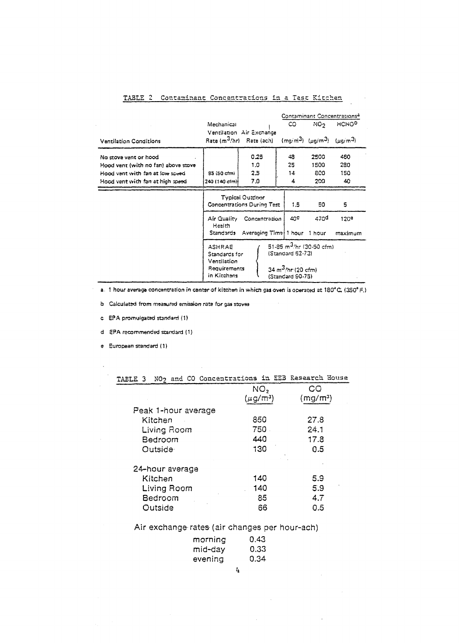| <b>Ventilation Conditions</b>                                                                                                        | Mechanical                                                                                                                                                                            | Ventilation Air Exchange<br>Rata (m <sup>3</sup> /hr) Rate (ach) | CO.                     | NO <sub>2</sub><br>$(mg/m3)$ ( $\mu g/m3$ ) ( $\mu g/m3$ ) | Contaminant Concentrations <sup>3</sup><br><b>HCHOP</b> |
|--------------------------------------------------------------------------------------------------------------------------------------|---------------------------------------------------------------------------------------------------------------------------------------------------------------------------------------|------------------------------------------------------------------|-------------------------|------------------------------------------------------------|---------------------------------------------------------|
| No stove vent or hood<br>Hood vent (with no fan) above stove<br>Hood vant with fan at low speed.<br>Hood vant with fan at high spaed | $85(50 \text{ c} \, \text{cm})$<br>240 (140 cím)i                                                                                                                                     | 0.25<br>1.0<br>2.5<br>7.0                                        | 48<br>25<br>$14 -$<br>4 | 2500<br>1500<br>800<br>200                                 | 460<br>280<br>150<br>40                                 |
|                                                                                                                                      | <b>Typical Outdoor</b><br><b>Concentrations During Test</b>                                                                                                                           | 1.5                                                              | 50                      | 5                                                          |                                                         |
|                                                                                                                                      | Air Quality<br>Health<br>Standards                                                                                                                                                    | 40℃<br>Concentration<br>Averaging Time 1 hour 1 hour             | 470 <sup>d</sup>        | 120 <sup>e</sup><br>maximum                                |                                                         |
|                                                                                                                                      | 51-85 $m^3$ /hr (30-50 cfm)<br><b>ASHRAE</b><br>(Standard 62-73)<br>Standards for<br>Ventilation<br>Requirements<br>34 m <sup>3</sup> /hr (20 cfm)<br>in Kitchans<br>(Standard 90-75) |                                                                  |                         |                                                            |                                                         |

# TABLE 2 Contaminant Concentrations in a Test Kitchen

 $\mathbb{R}^2$ 

a. 1 hour average concentration in center of kitchen in which gas oven is operated at 180°C; (350°F.)

 $\sim$   $\omega$ 

b Calculated from measured emission rate for gas stoves

 $\sim$ 

c. EPA promulgated standard (1)

d EPA recommended standard (1)

e European standard (1)

| TAELE 3             | NO <sub>2</sub> and CO Concentrations in EEB Research House |         |  |
|---------------------|-------------------------------------------------------------|---------|--|
|                     | NO,                                                         | CO      |  |
|                     | (µg/mª)                                                     | (mg/mª) |  |
| Peak 1-hour average |                                                             |         |  |
| Kitchen             | 850                                                         | 27.8    |  |
| Living Room         | 750                                                         | 24.1    |  |
| Bedroom             | 440                                                         | 17.8    |  |
| Outside             | 130                                                         | 0.5     |  |
| 24-hour average     |                                                             |         |  |
| Kitchen             | 140                                                         | 5.9     |  |
| Living Room         | 140                                                         | 5.9     |  |
| Bedroom             | 85                                                          | 4.7     |  |
| Outside             | 66                                                          | 0.5     |  |

Air exchange rates (air changes per hour-ach)

| morning | 0.43 |
|---------|------|
| mid-day | 0.33 |
| evening | 0.34 |

 $\mathbf{I}_{\pmb{\mathrm{I}}}$ 

 $\mathcal{L}^{\text{max}}_{\text{max}}$ 

 $\sim$   $\sim$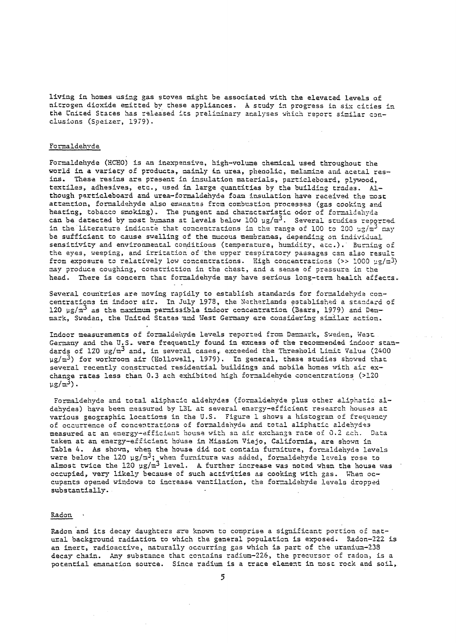living in homes using gas stoves might be associated with the elevated levels of nitrogen dioxide emitted by these appliances. A study in progress in six cities in the United States has released its preliminary analyses which report similar conclusions (Speizer, 1979).

# Formaldehyde

Formaldehyde (HCHO) is an inexpensive, high-volume chemical used throughout the world in a variety of products, mainly in urea, phenolic, melamine and acetal resins. These resins are present in insulation materials, particleboard, plywood, textiles, adhesives, etc., used in large quantities by the building trades. Although particleboard and urea-formaldehyde foam insulation have received the most attention, formaldehyde also emanates from combustion processes (gas cooking and heating, tobacco smoking). The pungent and characteristic odor of formaldehyda can be detected by most humans at levels below 100  $\mu g/\text{m}^3$ . Several studies reported in the literature indicate that concentrations in the range of 100 to 200  $\mu$ g/m<sup>3</sup> may be sufficient to cause swelling of the mucous membranes, depending on individual sensitivity and environmental conditions (temperature, humidity, etc.). Burning of the eves, weeping, and irritation of the upper respiratory passages can also result from exposure to relatively low concentrations. High concentrations (>> 1000  $\mu$ g/m<sup>3</sup>) may produce coughing, constriction in the chest, and a sense of pressure in the head. There is concern that formaldehyde may have serious long-term health effects.

Several countries are moving rapidly to establish standards for formaldehyde concentrations in indoor air. In July 1978, the Natharlands established a standard of 120 µg/m<sup>3</sup> as the maximum permissible indoor concentration (Baars, 1979) and Denmark, Sweden, the United States and West Germany are considering similar action.

Indoor measurements of formaldehyde levels reported from Denmark, Sweden, West Germany and the U.S. were frequently found in excess of the recommended indoor standards of 120 µg/m<sup>3</sup> and, in several cases, exceeded the Threshold Limit Value (2400  $\mu$ g/m<sup>3</sup>) for workroom air (Hollowell, 1979). In general, these studies showed that several recently constructed residential buildings and mobile homes with air exchange rates less than 0.3 ach exhibited high formaldehyde concentrations (>120  $\mu$ g/m<sup>3</sup>).

Formaldehyde and total aliphacic aldehydes (formaldehyde plus other aliphatic aldehydes) have been measured by LBL at several energy-efficient research houses at various geographic locations in the U.S. Figure 1 shows a histogram of frequency of occurrence of concentrations of formaldehyde and total aliphatic aldehydes measured at an energy-efficient house with an air exchange rate of 0.2 ach. Data taken at an energy-efficient house in Mission Viejo, California, are shown in Table 4. As shown, when the house did not contain furniture, formaldehyde levels were below the 120  $\mu$ g/ $\pi^3$ ; when furniture was added, formaldehyde levels rose to almost twice the 120  $\mu$ g/m<sup>3</sup> level. A further increase was noted when the house was occupied, very likely because of such activities as cooking with gas. When occupants opened windows to increase ventilation, the formaldehyde levels dropped substantially.

# Radon

Radon and its decay daughters are known to comprise a significant portion of natural background radiation to which the general population is exposed. Radon-222 is an inert, radioactive, naturally occurring gas which is part of the uranium-238 decay chain. Any substance that contains radium-226, the precursor of radon, is a potential emanation source. Since radium is a trace element in most rock and soil,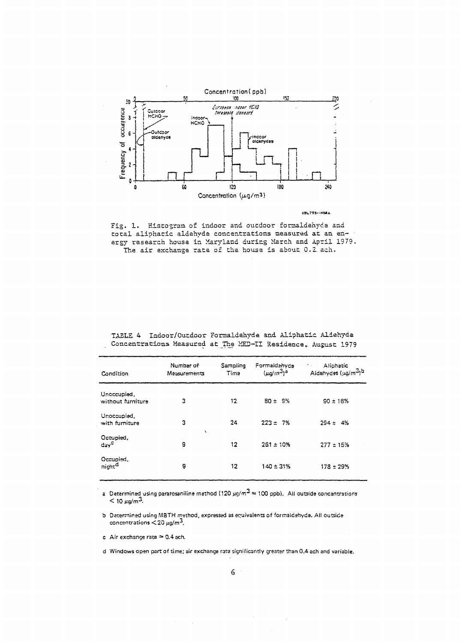

**XBL795-145RA** 



| Condition                        | Numbar of:<br>Measurements: | Sampling<br>Tima | Formaldanyde<br>$(\mu g/m^3)^a$ | Aliphatic<br>× .<br>Aldehydes (ug/m <sup>3</sup> )b |
|----------------------------------|-----------------------------|------------------|---------------------------------|-----------------------------------------------------|
| Unoccupied,<br>without furniture | 3                           | 12               | $80 \pm 9\%$                    | $90 \pm 16\%$                                       |
| Unoccupied,<br>with furniture    | 3<br>$\lambda$              | 24               | $223 \pm 7\%$                   | $294 \pm 4%$                                        |
| Occupied,<br>$day^{\mathsf{C}}$  | g                           | 12               | $261 \pm 10%$                   | $277 \pm 15\%$                                      |
| Occupied,<br>night <sup>d</sup>  | 9                           | 12.              | $140 \pm 31\%$                  | $178 \pm 29$ %                                      |

TABLE 4 Indoor/Outdoor Formaldehyde and Aliphatic Aldehyde Concentrations Measured at The MED-II Residence, August 1979

a. Determined using pararosaniline mathod (120  $\mu$ g/m<sup>3</sup>  $\approx$  100 ppb). All outside concentrations  $<$  10  $\mu$ g/m<sup>3</sup>.

b Determined using MBTH method, expressed as equivalents of formaldehyde. All outside concentrations  $<$  20  $\mu$ g/m<sup>3</sup>.

c Air exchange rate  $\approx$  0.4 ach.

d Windows open part of time; air exchange rate significantly greater than 0.4 ach and variable.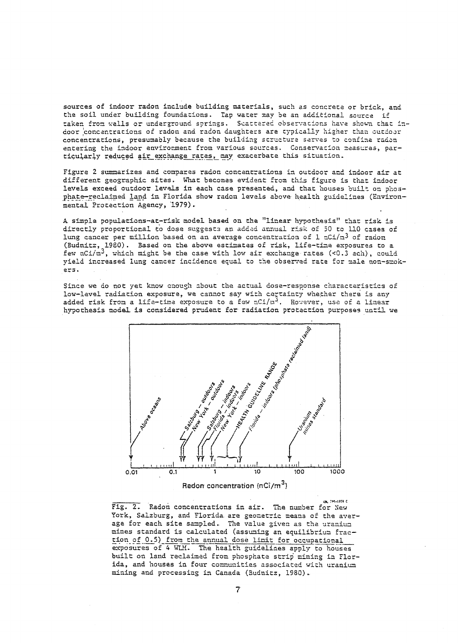sources of indoor radon include building materials, such as concrete or brick, and the soil under building foundations. Tap water may be an additional source if taken from walls or underground springs. Scattered observations have shown that indoor concentrations of radon and radon daughters are typically higher than outdoor concentrations, presumably because the building structure serves to confine radon entering the indoor environment from various sources. Conservacion reasuras, particularly reduced air exchange rates, may exacerbate this situation.

Figure 2 summarizes and compares radon concentrations in outdoor and indoor air at different geographic sites. What becomes evident from this figure is that indoor levels exceed outdoor levels in each case presented, and that houses built on phosphate-reclaimed land in Florida show radon levels above health guidelines (Environmental Protection Agency, 1979).

A simple populations-at-risk model based on the "linear hypothesis" that risk is directly proportional to dose suggests an added annual risk of 50 to 110 cases of lung cancer per million based on an average concentration of 1 nCi/m<sup>3</sup> of radon (Budnitz, 1980). Based on the above estimates of risk, life-time exposures to a few  $nCi/n^3$ , which might be the case with low air exchange rates (<0.3 ach), could yield increased lung cancer incidence equal to the observed rate for male non-smokers.

Since we do not yet know enough about the actual dose-response characteristics of low-level radiation exposure, we cannot say with certainty whether there is any added risk from a life-time exposure to a few  $nC1/n^3$ . However, use of a linear hypothesis model is considered prudent for radiation protection purposes until we



**DE 795-1559 C** Fig. 2. Radon concentrations in air. The number for New York, Salzburg, and Florida are geometric means of the average for each site sampled. The value given as the uranium mines standard is calculated (assuming an equilibrium fraction of 0.5) from the annual dose limit for occupational exposures of 4 WIM. The health guidelines apply to houses built on land reclaimed from phosphate strip mining in Florida, and houses in four communities associated with uranium mining and processing in Canada (Budnitz, 1980).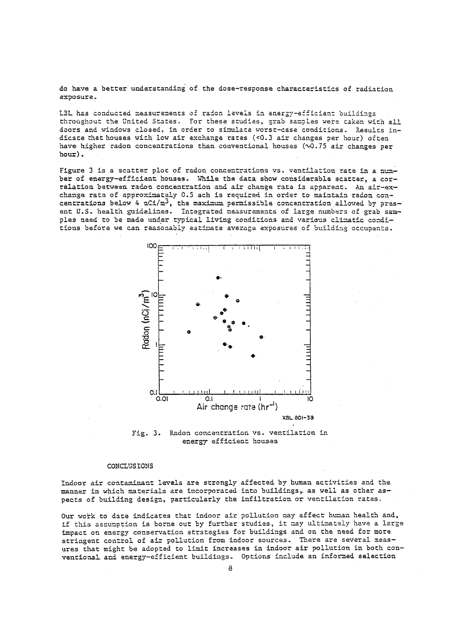do have a better understanding of the dose-response characteristics of radiation exposure.

LBL has conducted measurements of radon levels in energy-efficient buildings throughout the United States. For these studies, grab samples were taken with all doors and windows closed, in order to simulate worst-case conditions. Results indicate that houses with low air exchange rates (<0.3 air changes per hour) often have higher radon concentrations than conventional houses (~0.75 air changes per  $hour)$ .

Figure 3 is a scatter plot of radon concentrations vs. ventilation rate in a number of energy-efficient houses. While the data show considerable scatter, a correlation between radon concentration and air change rate is apparent. An air-exchange rate of approximately 0.5 ach is required in order to maintain radon concentrations below 4 nC1/m<sup>3</sup>, the maximum permissible concentration allowed by present U.S. health guidelines. Integrated measurements of large numbers of grab samples need to be made under typical living conditions and various climatic conditions before we can reasonably estimate average exposures of building occupants.



Fig. 3. Radon concentration vs. ventilation in energy efficient houses

# CONCLUSIONS

Indoor air contaminant levels are strongly affected by human activities and the manner in which materials are incorporated into buildings, as well as other aspects of building design, particularly the infiltration or ventilation rates.

Our work to date indicates that indoor air pollution may affect human health and, if this assumption is borne out by further studies, it may ultimately have a large impact on energy conservation strategies for buildings and on the need for more stringent control of air pollution from indoor sources. There are several measures that might be adopted to limit increases in indoor air pollution in both conventional and energy-efficient buildings. Options include an informed selection